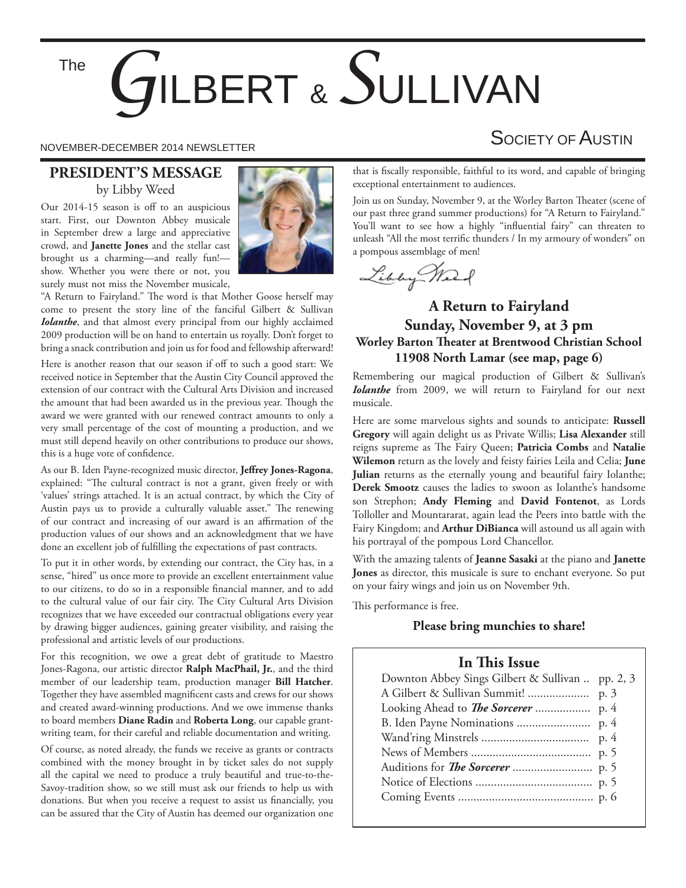The

# *G*ILBERT & *S*ULLIVAN

#### **PRESIDENT'S MESSAGE** by Libby Weed

Our 2014-15 season is off to an auspicious start. First, our Downton Abbey musicale in September drew a large and appreciative crowd, and **Janette Jones** and the stellar cast brought us a charming—and really fun! show. Whether you were there or not, you surely must not miss the November musicale,



"A Return to Fairyland." The word is that Mother Goose herself may come to present the story line of the fanciful Gilbert & Sullivan *Iolanthe*, and that almost every principal from our highly acclaimed 2009 production will be on hand to entertain us royally. Don't forget to bring a snack contribution and join us for food and fellowship afterward!

Here is another reason that our season if off to such a good start: We received notice in September that the Austin City Council approved the extension of our contract with the Cultural Arts Division and increased the amount that had been awarded us in the previous year. Though the award we were granted with our renewed contract amounts to only a very small percentage of the cost of mounting a production, and we must still depend heavily on other contributions to produce our shows, this is a huge vote of confidence.

As our B. Iden Payne-recognized music director, **Jeffrey Jones-Ragona**, explained: "The cultural contract is not a grant, given freely or with 'values' strings attached. It is an actual contract, by which the City of Austin pays us to provide a culturally valuable asset." The renewing of our contract and increasing of our award is an affirmation of the production values of our shows and an acknowledgment that we have done an excellent job of fulfilling the expectations of past contracts.

To put it in other words, by extending our contract, the City has, in a sense, "hired" us once more to provide an excellent entertainment value to our citizens, to do so in a responsible financial manner, and to add to the cultural value of our fair city. The City Cultural Arts Division recognizes that we have exceeded our contractual obligations every year by drawing bigger audiences, gaining greater visibility, and raising the professional and artistic levels of our productions.

For this recognition, we owe a great debt of gratitude to Maestro Jones-Ragona, our artistic director **Ralph MacPhail, Jr.**, and the third member of our leadership team, production manager **Bill Hatcher**. Together they have assembled magnificent casts and crews for our shows and created award-winning productions. And we owe immense thanks to board members **Diane Radin** and **Roberta Long**, our capable grantwriting team, for their careful and reliable documentation and writing.

Of course, as noted already, the funds we receive as grants or contracts combined with the money brought in by ticket sales do not supply all the capital we need to produce a truly beautiful and true-to-the-Savoy-tradition show, so we still must ask our friends to help us with donations. But when you receive a request to assist us financially, you can be assured that the City of Austin has deemed our organization one

## NOVEMBER-DECEMBER 2014 NEWSLETTER SOCIETY OF AUSTIN

that is fiscally responsible, faithful to its word, and capable of bringing exceptional entertainment to audiences.

Join us on Sunday, November 9, at the Worley Barton Theater (scene of our past three grand summer productions) for "A Return to Fairyland." You'll want to see how a highly "influential fairy" can threaten to unleash "All the most terrific thunders / In my armoury of wonders" on a pompous assemblage of men!

Libby March

#### **A Return to Fairyland Sunday, November 9, at 3 pm Worley Barton Theater at Brentwood Christian School 11908 North Lamar (see map, page 6)**

Remembering our magical production of Gilbert & Sullivan's *Iolanthe* from 2009, we will return to Fairyland for our next musicale.

Here are some marvelous sights and sounds to anticipate: **Russell Gregory** will again delight us as Private Willis; **Lisa Alexander** still reigns supreme as The Fairy Queen; Patricia Combs and Natalie **Wilemon** return as the lovely and feisty fairies Leila and Celia; **June Julian** returns as the eternally young and beautiful fairy Iolanthe; **Derek Smootz** causes the ladies to swoon as Iolanthe's handsome son Strephon; **Andy Fleming** and **David Fontenot**, as Lords Tolloller and Mountararat, again lead the Peers into battle with the Fairy Kingdom; and **Arthur DiBianca** will astound us all again with his portrayal of the pompous Lord Chancellor.

With the amazing talents of **Jeanne Sasaki** at the piano and **Janette Jones** as director, this musicale is sure to enchant everyone. So put on your fairy wings and join us on November 9th.

This performance is free.

#### **Please bring munchies to share!**

#### **In This Issue**

| Downton Abbey Sings Gilbert & Sullivan  pp. 2, 3 |  |
|--------------------------------------------------|--|
|                                                  |  |
|                                                  |  |
|                                                  |  |
|                                                  |  |
|                                                  |  |
|                                                  |  |
|                                                  |  |
|                                                  |  |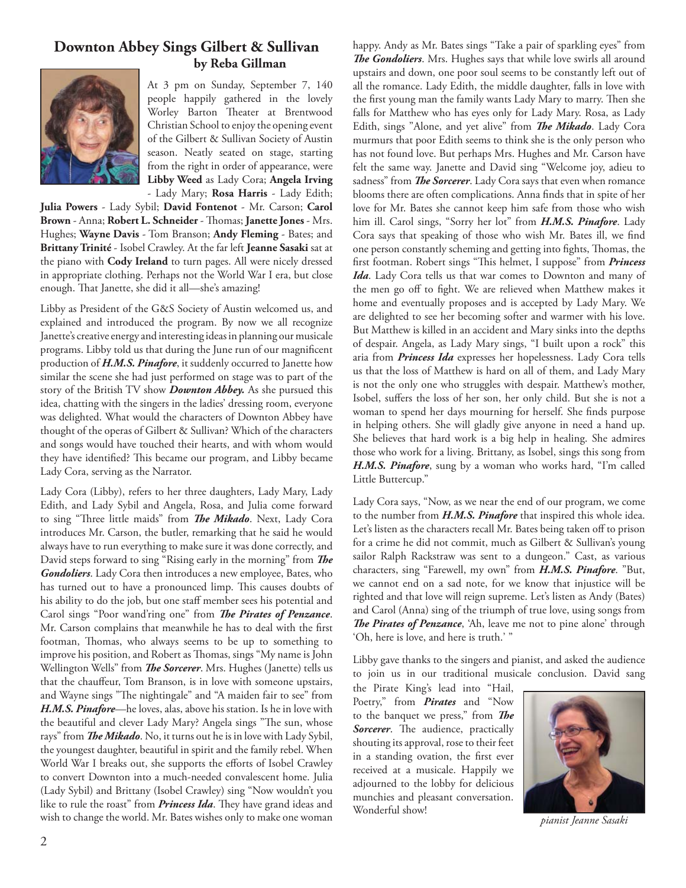#### **Downton Abbey Sings Gilbert & Sullivan by Reba Gillman**



At 3 pm on Sunday, September 7, 140 people happily gathered in the lovely Worley Barton Theater at Brentwood Christian School to enjoy the opening event of the Gilbert & Sullivan Society of Austin season. Neatly seated on stage, starting from the right in order of appearance, were **Libby Weed** as Lady Cora; **Angela Irving** - Lady Mary; **Rosa Harris** - Lady Edith;

**Julia Powers** - Lady Sybil; **David Fontenot** - Mr. Carson; **Carol**  Brown - Anna; Robert L. Schneider - Thomas; Janette Jones - Mrs. Hughes; **Wayne Davis** - Tom Branson; **Andy Fleming** - Bates; and **Brittany Trinité** - Isobel Crawley. At the far left **Jeanne Sasaki** sat at the piano with **Cody Ireland** to turn pages. All were nicely dressed in appropriate clothing. Perhaps not the World War I era, but close enough. That Janette, she did it all—she's amazing!

Libby as President of the G&S Society of Austin welcomed us, and explained and introduced the program. By now we all recognize Janette's creative energy and interesting ideas in planning our musicale programs. Libby told us that during the June run of our magnificent production of *H.M.S. Pinafore*, it suddenly occurred to Janette how similar the scene she had just performed on stage was to part of the story of the British TV show *Downton Abbey.* As she pursued this idea, chatting with the singers in the ladies' dressing room, everyone was delighted. What would the characters of Downton Abbey have thought of the operas of Gilbert & Sullivan? Which of the characters and songs would have touched their hearts, and with whom would they have identified? This became our program, and Libby became Lady Cora, serving as the Narrator.

Lady Cora (Libby), refers to her three daughters, Lady Mary, Lady Edith, and Lady Sybil and Angela, Rosa, and Julia come forward to sing "Three little maids" from *The Mikado*. Next, Lady Cora introduces Mr. Carson, the butler, remarking that he said he would always have to run everything to make sure it was done correctly, and David steps forward to sing "Rising early in the morning" from The *Gondoliers*. Lady Cora then introduces a new employee, Bates, who has turned out to have a pronounced limp. This causes doubts of his ability to do the job, but one staff member sees his potential and Carol sings "Poor wand'ring one" from *The Pirates of Penzance*. Mr. Carson complains that meanwhile he has to deal with the first footman, Thomas, who always seems to be up to something to improve his position, and Robert as Thomas, sings "My name is John Wellington Wells" from *The Sorcerer*. Mrs. Hughes (Janette) tells us that the chauffeur, Tom Branson, is in love with someone upstairs, and Wayne sings "The nightingale" and "A maiden fair to see" from *H.M.S. Pinafore*—he loves, alas, above his station. Is he in love with the beautiful and clever Lady Mary? Angela sings "The sun, whose rays" from *The Mikado*. No, it turns out he is in love with Lady Sybil, the youngest daughter, beautiful in spirit and the family rebel. When World War I breaks out, she supports the efforts of Isobel Crawley to convert Downton into a much-needed convalescent home. Julia (Lady Sybil) and Brittany (Isobel Crawley) sing "Now wouldn't you like to rule the roast" from *Princess Ida*. They have grand ideas and wish to change the world. Mr. Bates wishes only to make one woman

**The Gondoliers**. Mrs. Hughes says that while love swirls all around upstairs and down, one poor soul seems to be constantly left out of all the romance. Lady Edith, the middle daughter, falls in love with the first young man the family wants Lady Mary to marry. Then she falls for Matthew who has eyes only for Lady Mary. Rosa, as Lady Edith, sings "Alone, and yet alive" from *The Mikado*. Lady Cora murmurs that poor Edith seems to think she is the only person who has not found love. But perhaps Mrs. Hughes and Mr. Carson have felt the same way. Janette and David sing "Welcome joy, adieu to sadness" from *The Sorcerer*. Lady Cora says that even when romance blooms there are often complications. Anna finds that in spite of her love for Mr. Bates she cannot keep him safe from those who wish him ill. Carol sings, "Sorry her lot" from *H.M.S. Pinafore*. Lady Cora says that speaking of those who wish Mr. Bates ill, we find one person constantly scheming and getting into fights, Thomas, the first footman. Robert sings "This helmet, I suppose" from *Princess Ida*. Lady Cora tells us that war comes to Downton and many of the men go off to fight. We are relieved when Matthew makes it home and eventually proposes and is accepted by Lady Mary. We are delighted to see her becoming softer and warmer with his love. But Matthew is killed in an accident and Mary sinks into the depths of despair. Angela, as Lady Mary sings, "I built upon a rock" this aria from *Princess Ida* expresses her hopelessness. Lady Cora tells us that the loss of Matthew is hard on all of them, and Lady Mary is not the only one who struggles with despair. Matthew's mother, Isobel, suffers the loss of her son, her only child. But she is not a woman to spend her days mourning for herself. She finds purpose in helping others. She will gladly give anyone in need a hand up. She believes that hard work is a big help in healing. She admires those who work for a living. Brittany, as Isobel, sings this song from *H.M.S. Pinafore*, sung by a woman who works hard, "I'm called Little Buttercup."

happy. Andy as Mr. Bates sings "Take a pair of sparkling eyes" from

Lady Cora says, "Now, as we near the end of our program, we come to the number from *H.M.S. Pinafore* that inspired this whole idea. Let's listen as the characters recall Mr. Bates being taken off to prison for a crime he did not commit, much as Gilbert & Sullivan's young sailor Ralph Rackstraw was sent to a dungeon." Cast, as various characters, sing "Farewell, my own" from *H.M.S. Pinafore*. "But, we cannot end on a sad note, for we know that injustice will be righted and that love will reign supreme. Let's listen as Andy (Bates) and Carol (Anna) sing of the triumph of true love, using songs from **The Pirates of Penzance**, 'Ah, leave me not to pine alone' through 'Oh, here is love, and here is truth.' "

Libby gave thanks to the singers and pianist, and asked the audience to join us in our traditional musicale conclusion. David sang

the Pirate King's lead into "Hail, Poetry," from *Pirates* and "Now to the banquet we press," from **The Sorcerer**. The audience, practically shouting its approval, rose to their feet in a standing ovation, the first ever received at a musicale. Happily we adjourned to the lobby for delicious munchies and pleasant conversation. Wonderful show!



*pianist Jeanne Sasaki*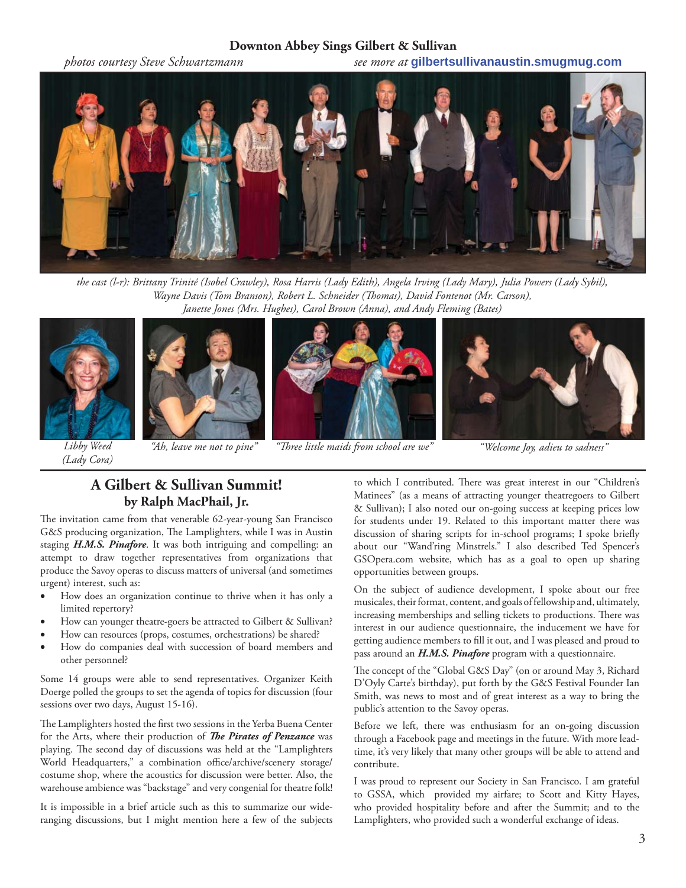#### **Downton Abbey Sings Gilbert & Sullivan**

*photos courtesy Steve Schwartzmann see more at* **gilbertsullivanaustin.smugmug.com**



*the cast (l-r): Brittany Trinité (Isobel Crawley), Rosa Harris (Lady Edith), Angela Irving (Lady Mary), Julia Powers (Lady Sybil), Wayne Davis (Tom Branson), Robert L. Schneider (Thomas), David Fontenot (Mr. Carson), Janette Jones (Mrs. Hughes), Carol Brown (Anna), and Andy Fleming (Bates)*



*(Lady Cora)*







*"Ah, leave me not to pine" "Th ree little maids from school are we" "Welcome Joy, adieu to sadness"*

#### **A Gilbert & Sullivan Summit! by Ralph MacPhail, Jr.**

The invitation came from that venerable 62-year-young San Francisco G&S producing organization, The Lamplighters, while I was in Austin staging *H.M.S. Pinafore*. It was both intriguing and compelling: an attempt to draw together representatives from organizations that produce the Savoy operas to discuss matters of universal (and sometimes urgent) interest, such as:

- How does an organization continue to thrive when it has only a limited repertory?
- How can younger theatre-goers be attracted to Gilbert & Sullivan?
- How can resources (props, costumes, orchestrations) be shared?
- How do companies deal with succession of board members and other personnel?

Some 14 groups were able to send representatives. Organizer Keith Doerge polled the groups to set the agenda of topics for discussion (four sessions over two days, August 15-16).

The Lamplighters hosted the first two sessions in the Yerba Buena Center for the Arts, where their production of *The Pirates of Penzance* was playing. The second day of discussions was held at the "Lamplighters World Headquarters," a combination office/archive/scenery storage/ costume shop, where the acoustics for discussion were better. Also, the warehouse ambience was "backstage" and very congenial for theatre folk!

It is impossible in a brief article such as this to summarize our wideranging discussions, but I might mention here a few of the subjects to which I contributed. There was great interest in our "Children's Matinees" (as a means of attracting younger theatregoers to Gilbert & Sullivan); I also noted our on-going success at keeping prices low for students under 19. Related to this important matter there was discussion of sharing scripts for in-school programs; I spoke briefly about our "Wand'ring Minstrels." I also described Ted Spencer's GSOpera.com website, which has as a goal to open up sharing opportunities between groups.

On the subject of audience development, I spoke about our free musicales, their format, content, and goals of fellowship and, ultimately, increasing memberships and selling tickets to productions. There was interest in our audience questionnaire, the inducement we have for getting audience members to fill it out, and I was pleased and proud to pass around an *H.M.S. Pinafore* program with a questionnaire.

The concept of the "Global G&S Day" (on or around May 3, Richard D'Oyly Carte's birthday), put forth by the G&S Festival Founder Ian Smith, was news to most and of great interest as a way to bring the public's attention to the Savoy operas.

Before we left, there was enthusiasm for an on-going discussion through a Facebook page and meetings in the future. With more leadtime, it's very likely that many other groups will be able to attend and contribute.

I was proud to represent our Society in San Francisco. I am grateful to GSSA, which provided my airfare; to Scott and Kitty Hayes, who provided hospitality before and after the Summit; and to the Lamplighters, who provided such a wonderful exchange of ideas.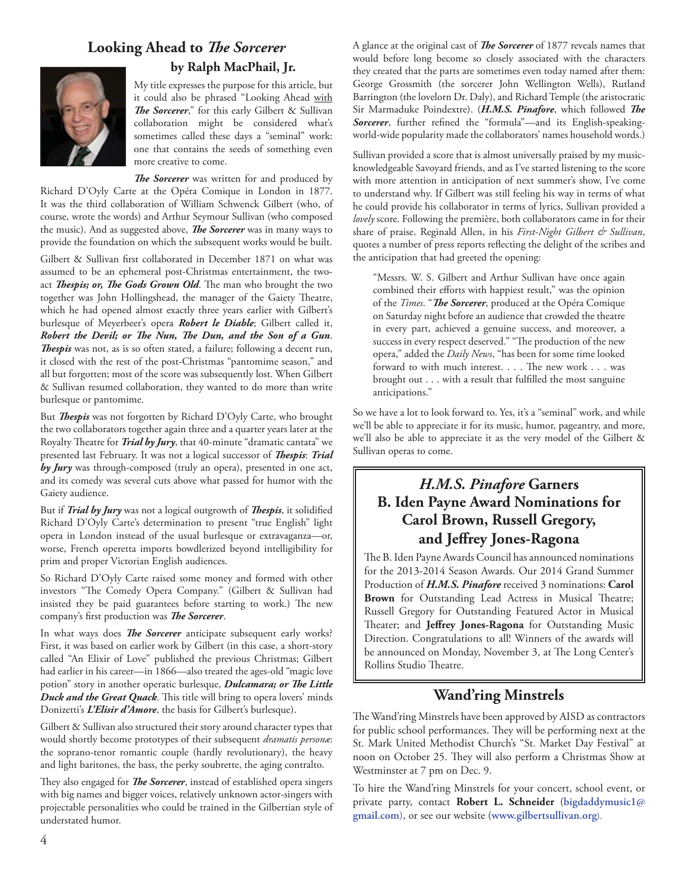## Looking Ahead to *The Sorcerer*



#### **by Ralph MacPhail, Jr.**

My title expresses the purpose for this article, but it could also be phrased "Looking Ahead with **The Sorcerer**," for this early Gilbert & Sullivan collaboration might be considered what's sometimes called these days a "seminal" work: one that contains the seeds of something even more creative to come.

The Sorcerer was written for and produced by Richard D'Oyly Carte at the Opéra Comique in London in 1877. It was the third collaboration of William Schwenck Gilbert (who, of course, wrote the words) and Arthur Seymour Sullivan (who composed the music). And as suggested above, *The Sorcerer* was in many ways to provide the foundation on which the subsequent works would be built.

Gilbert & Sullivan first collaborated in December 1871 on what was assumed to be an ephemeral post-Christmas entertainment, the twoact *Thespis; or, The Gods Grown Old*. The man who brought the two together was John Hollingshead, the manager of the Gaiety Theatre, which he had opened almost exactly three years earlier with Gilbert's burlesque of Meyerbeer's opera *Robert le Diable*; Gilbert called it, *Robert the Devil; or The Nun, The Dun, and the Son of a Gun.* **Thespis** was not, as is so often stated, a failure; following a decent run, it closed with the rest of the post-Christmas "pantomime season," and all but forgotten; most of the score was subsequently lost. When Gilbert & Sullivan resumed collaboration, they wanted to do more than write burlesque or pantomime.

But *Thespis* was not forgotten by Richard D'Oyly Carte, who brought the two collaborators together again three and a quarter years later at the Royalty Theatre for *Trial by Jury*, that 40-minute "dramatic cantata" we presented last February. It was not a logical successor of *Thespis*: Trial *by Jury* was through-composed (truly an opera), presented in one act, and its comedy was several cuts above what passed for humor with the Gaiety audience.

But if *Trial by Jury* was not a logical outgrowth of *Thespis*, it solidified Richard D'Oyly Carte's determination to present "true English" light opera in London instead of the usual burlesque or extravaganza—or, worse, French operetta imports bowdlerized beyond intelligibility for prim and proper Victorian English audiences.

So Richard D'Oyly Carte raised some money and formed with other investors "The Comedy Opera Company." (Gilbert & Sullivan had insisted they be paid guarantees before starting to work.) The new company's first production was *The Sorcerer*.

In what ways does *The Sorcerer* anticipate subsequent early works? First, it was based on earlier work by Gilbert (in this case, a short-story called "An Elixir of Love" published the previous Christmas; Gilbert had earlier in his career—in 1866—also treated the ages-old "magic love potion" story in another operatic burlesque, *Dulcamara; or The Little* Duck and the Great Quack. This title will bring to opera lovers' minds Donizetti's *L'Elisir d'Amore*, the basis for Gilbert's burlesque).

Gilbert & Sullivan also structured their story around character types that would shortly become prototypes of their subsequent *dramatis personæ*: the soprano-tenor romantic couple (hardly revolutionary), the heavy and light baritones, the bass, the perky soubrette, the aging contralto.

They also engaged for *The Sorcerer*, instead of established opera singers with big names and bigger voices, relatively unknown actor-singers with projectable personalities who could be trained in the Gilbertian style of understated humor.

A glance at the original cast of *The Sorcerer* of 1877 reveals names that would before long become so closely associated with the characters they created that the parts are sometimes even today named after them: George Grossmith (the sorcerer John Wellington Wells), Rutland Barrington (the lovelorn Dr. Daly), and Richard Temple (the aristocratic Sir Marmaduke Poindextre). (*H.M.S. Pinafore*, which followed *The* Sorcerer, further refined the "formula"-and its English-speakingworld-wide popularity made the collaborators' names household words.)

Sullivan provided a score that is almost universally praised by my musicknowledgeable Savoyard friends, and as I've started listening to the score with more attention in anticipation of next summer's show, I've come to understand why. If Gilbert was still feeling his way in terms of what he could provide his collaborator in terms of lyrics, Sullivan provided a *lovely* score. Following the première, both collaborators came in for their share of praise. Reginald Allen, in his *First-Night Gilbert & Sullivan*, quotes a number of press reports reflecting the delight of the scribes and the anticipation that had greeted the opening:

"Messrs. W. S. Gilbert and Arthur Sullivan have once again combined their efforts with happiest result," was the opinion of the *Times*. "*The Sorcerer*, produced at the Opéra Comique on Saturday night before an audience that crowded the theatre in every part, achieved a genuine success, and moreover, a success in every respect deserved." "The production of the new opera," added the *Daily News*, "has been for some time looked forward to with much interest. . . . The new work . . . was brought out  $\ldots$  with a result that fulfilled the most sanguine anticipations."

So we have a lot to look forward to. Yes, it's a "seminal" work, and while we'll be able to appreciate it for its music, humor, pageantry, and more, we'll also be able to appreciate it as the very model of the Gilbert & Sullivan operas to come.

### *H.M.S. Pinafore* **Garners B. Iden Payne Award Nominations for Carol Brown, Russell Gregory, and Jeff rey Jones-Ragona**

The B. Iden Payne Awards Council has announced nominations for the 2013-2014 Season Awards. Our 2014 Grand Summer Production of *H.M.S. Pinafore* received 3 nominations: **Carol**  Brown for Outstanding Lead Actress in Musical Theatre; Russell Gregory for Outstanding Featured Actor in Musical Theater; and Jeffrey Jones-Ragona for Outstanding Music Direction. Congratulations to all! Winners of the awards will be announced on Monday, November 3, at The Long Center's Rollins Studio Theatre.

#### **Wand'ring Minstrels**

The Wand'ring Minstrels have been approved by AISD as contractors for public school performances. They will be performing next at the St. Mark United Methodist Church's "St. Market Day Festival" at noon on October 25. They will also perform a Christmas Show at Westminster at 7 pm on Dec. 9.

To hire the Wand'ring Minstrels for your concert, school event, or private party, contact **Robert L. Schneider** (**bigdaddymusic1@ gmail.com**), or see our website (**www.gilbertsullivan.org**).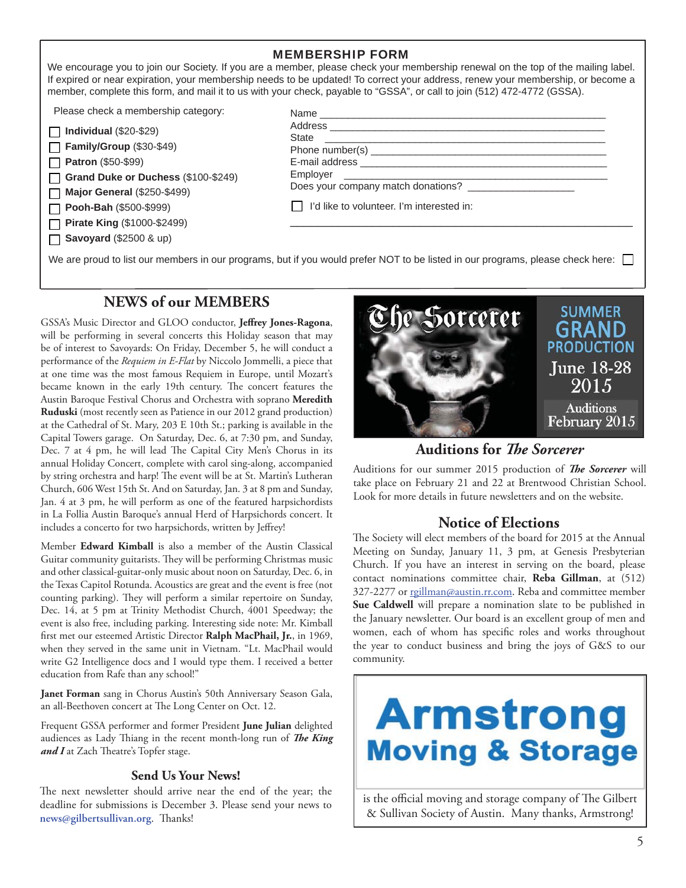| <b>MEMBERSHIP FORM</b><br>We encourage you to join our Society. If you are a member, please check your membership renewal on the top of the mailing label.<br>If expired or near expiration, your membership needs to be updated! To correct your address, renew your membership, or become a<br>member, complete this form, and mail it to us with your check, payable to "GSSA", or call to join (512) 472-4772 (GSSA). |                                                                                 |  |
|---------------------------------------------------------------------------------------------------------------------------------------------------------------------------------------------------------------------------------------------------------------------------------------------------------------------------------------------------------------------------------------------------------------------------|---------------------------------------------------------------------------------|--|
| Please check a membership category:<br>$\Box$ Individual (\$20-\$29)<br>$\Box$ Family/Group (\$30-\$49)<br><b>Patron</b> (\$50-\$99)<br>Grand Duke or Duchess (\$100-\$249)<br><b>Major General (\$250-\$499)</b><br>$\Box$ Pooh-Bah (\$500-\$999)<br>□ Pirate King (\$1000-\$2499)<br>$\Box$ Savoyard (\$2500 & up)                                                                                                      | Does your company match donations?<br>I'd like to volunteer. I'm interested in: |  |
| We are proud to list our members in our programs, but if you would prefer NOT to be listed in our programs, please check here:                                                                                                                                                                                                                                                                                            |                                                                                 |  |

#### **NEWS of our MEMBERS**

GSSA's Music Director and GLOO conductor, Jeffrey Jones-Ragona, will be performing in several concerts this Holiday season that may be of interest to Savoyards: On Friday, December 5, he will conduct a performance of the *Requiem in E-Flat* by Niccolo Jommelli, a piece that at one time was the most famous Requiem in Europe, until Mozart's became known in the early 19th century. The concert features the Austin Baroque Festival Chorus and Orchestra with soprano **Meredith Ruduski** (most recently seen as Patience in our 2012 grand production) at the Cathedral of St. Mary, 203 E 10th St.; parking is available in the Capital Towers garage. On Saturday, Dec. 6, at 7:30 pm, and Sunday, Dec. 7 at 4 pm, he will lead The Capital City Men's Chorus in its annual Holiday Concert, complete with carol sing-along, accompanied by string orchestra and harp! The event will be at St. Martin's Lutheran Church, 606 West 15th St. And on Saturday, Jan. 3 at 8 pm and Sunday, Jan. 4 at 3 pm, he will perform as one of the featured harpsichordists in La Follia Austin Baroque's annual Herd of Harpsichords concert. It includes a concerto for two harpsichords, written by Jeffrey!

Member **Edward Kimball** is also a member of the Austin Classical Guitar community guitarists. They will be performing Christmas music and other classical-guitar-only music about noon on Saturday, Dec. 6, in the Texas Capitol Rotunda. Acoustics are great and the event is free (not counting parking). They will perform a similar repertoire on Sunday, Dec. 14, at 5 pm at Trinity Methodist Church, 4001 Speedway; the event is also free, including parking. Interesting side note: Mr. Kimball first met our esteemed Artistic Director Ralph MacPhail, Jr., in 1969, when they served in the same unit in Vietnam. "Lt. MacPhail would write G2 Intelligence docs and I would type them. I received a better education from Rafe than any school!"

**Janet Forman** sang in Chorus Austin's 50th Anniversary Season Gala, an all-Beethoven concert at The Long Center on Oct. 12.

Frequent GSSA performer and former President **June Julian** delighted audiences as Lady Thiang in the recent month-long run of *The King* and I at Zach Theatre's Topfer stage.

#### **Send Us Your News!**

The next newsletter should arrive near the end of the year; the deadline for submissions is December 3. Please send your news to news@gilbertsullivan.org. Thanks!



**Auditions for** *Th e Sorcerer*

Auditions for our summer 2015 production of *The Sorcerer* will take place on February 21 and 22 at Brentwood Christian School. Look for more details in future newsletters and on the website.

#### **Notice of Elections**

The Society will elect members of the board for 2015 at the Annual Meeting on Sunday, January 11, 3 pm, at Genesis Presbyterian Church. If you have an interest in serving on the board, please contact nominations committee chair, **Reba Gillman**, at (512) 327-2277 or rgillman@austin.rr.com. Reba and committee member **Sue Caldwell** will prepare a nomination slate to be published in the January newsletter. Our board is an excellent group of men and women, each of whom has specific roles and works throughout the year to conduct business and bring the joys of G&S to our community.



is the official moving and storage company of The Gilbert & Sullivan Society of Austin. Many thanks, Armstrong!